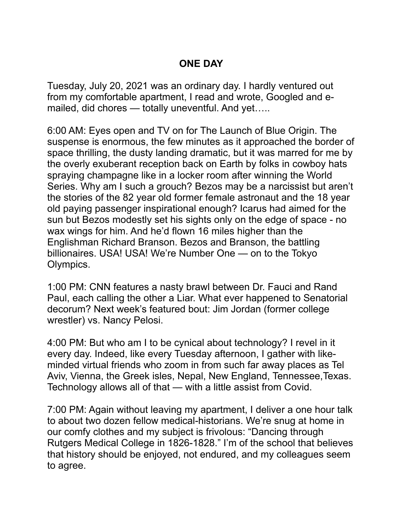## **ONE DAY**

Tuesday, July 20, 2021 was an ordinary day. I hardly ventured out from my comfortable apartment, I read and wrote, Googled and emailed, did chores — totally uneventful. And yet…..

6:00 AM: Eyes open and TV on for The Launch of Blue Origin. The suspense is enormous, the few minutes as it approached the border of space thrilling, the dusty landing dramatic, but it was marred for me by the overly exuberant reception back on Earth by folks in cowboy hats spraying champagne like in a locker room after winning the World Series. Why am I such a grouch? Bezos may be a narcissist but aren't the stories of the 82 year old former female astronaut and the 18 year old paying passenger inspirational enough? Icarus had aimed for the sun but Bezos modestly set his sights only on the edge of space - no wax wings for him. And he'd flown 16 miles higher than the Englishman Richard Branson. Bezos and Branson, the battling billionaires. USA! USA! We're Number One — on to the Tokyo Olympics.

1:00 PM: CNN features a nasty brawl between Dr. Fauci and Rand Paul, each calling the other a Liar. What ever happened to Senatorial decorum? Next week's featured bout: Jim Jordan (former college wrestler) vs. Nancy Pelosi.

4:00 PM: But who am I to be cynical about technology? I revel in it every day. Indeed, like every Tuesday afternoon, I gather with likeminded virtual friends who zoom in from such far away places as Tel Aviv, Vienna, the Greek isles, Nepal, New England, Tennessee,Texas. Technology allows all of that — with a little assist from Covid.

7:00 PM: Again without leaving my apartment, I deliver a one hour talk to about two dozen fellow medical-historians. We're snug at home in our comfy clothes and my subject is frivolous: "Dancing through Rutgers Medical College in 1826-1828." I'm of the school that believes that history should be enjoyed, not endured, and my colleagues seem to agree.